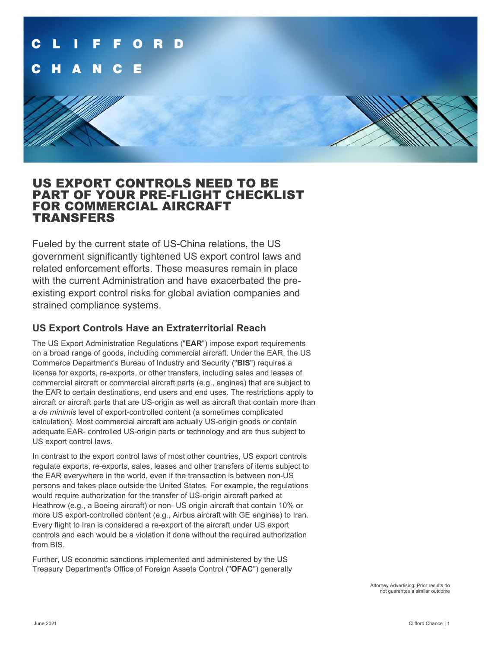

## US EXPORT CONTROLS NEED TO BE PART OF YOUR PRE-FLIGHT CHECKLIST FOR COMMERCIAL AIRCRAFT TRANSFERS

Fueled by the current state of US-China relations, the US government significantly tightened US export control laws and related enforcement efforts. These measures remain in place with the current Administration and have exacerbated the preexisting export control risks for global aviation companies and strained compliance systems.

### **US Export Controls Have an Extraterritorial Reach**

The US Export Administration Regulations ("**EAR**") impose export requirements on a broad range of goods, including commercial aircraft. Under the EAR, the US Commerce Department's Bureau of Industry and Security ("**BIS**") requires a license for exports, re-exports, or other transfers, including sales and leases of commercial aircraft or commercial aircraft parts (e.g., engines) that are subject to the EAR to certain destinations, end users and end uses. The restrictions apply to aircraft or aircraft parts that are US-origin as well as aircraft that contain more than a *de minimis* level of export-controlled content (a sometimes complicated calculation). Most commercial aircraft are actually US-origin goods or contain adequate EAR- controlled US-origin parts or technology and are thus subject to US export control laws.

In contrast to the export control laws of most other countries, US export controls regulate exports, re-exports, sales, leases and other transfers of items subject to the EAR everywhere in the world, even if the transaction is between non-US persons and takes place outside the United States. For example, the regulations would require authorization for the transfer of US-origin aircraft parked at Heathrow (e.g., a Boeing aircraft) or non- US origin aircraft that contain 10% or more US export-controlled content (e.g., Airbus aircraft with GE engines) to Iran. Every flight to Iran is considered a re-export of the aircraft under US export controls and each would be a violation if done without the required authorization from BIS.

Further, US economic sanctions implemented and administered by the US Treasury Department's Office of Foreign Assets Control ("**OFAC**") generally

> Attorney Advertising: Prior results do not guarantee a similar outcome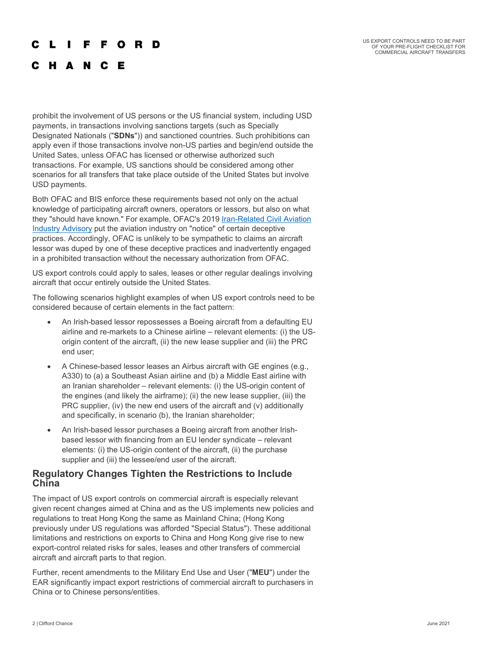#### r L **Contract** F F O R D

### C H A N C E

prohibit the involvement of US persons or the US financial system, including USD payments, in transactions involving sanctions targets (such as Specially Designated Nationals ("**SDNs**")) and sanctioned countries. Such prohibitions can apply even if those transactions involve non-US parties and begin/end outside the United Sates, unless OFAC has licensed or otherwise authorized such transactions. For example, US sanctions should be considered among other scenarios for all transfers that take place outside of the United States but involve USD payments.

Both OFAC and BIS enforce these requirements based not only on the actual knowledge of participating aircraft owners, operators or lessors, but also on what they "should have known." For example, OFAC's 2019 [Iran-Related Civil Aviation](https://www.cliffordchance.com/briefings/2019/07/turbulent_times_ofacwarnsaviationindustryo.html)  [Industry Advisory](https://www.cliffordchance.com/briefings/2019/07/turbulent_times_ofacwarnsaviationindustryo.html) put the aviation industry on "notice" of certain deceptive practices. Accordingly, OFAC is unlikely to be sympathetic to claims an aircraft lessor was duped by one of these deceptive practices and inadvertently engaged in a prohibited transaction without the necessary authorization from OFAC.

US export controls could apply to sales, leases or other regular dealings involving aircraft that occur entirely outside the United States.

The following scenarios highlight examples of when US export controls need to be considered because of certain elements in the fact pattern:

- An Irish-based lessor repossesses a Boeing aircraft from a defaulting EU airline and re-markets to a Chinese airline – relevant elements: (i) the USorigin content of the aircraft, (ii) the new lease supplier and (iii) the PRC end user;
- A Chinese-based lessor leases an Airbus aircraft with GE engines (e.g., A330) to (a) a Southeast Asian airline and (b) a Middle East airline with an Iranian shareholder – relevant elements: (i) the US-origin content of the engines (and likely the airframe); (ii) the new lease supplier, (iii) the PRC supplier, (iv) the new end users of the aircraft and (v) additionally and specifically, in scenario (b), the Iranian shareholder;
- An Irish-based lessor purchases a Boeing aircraft from another Irishbased lessor with financing from an EU lender syndicate – relevant elements: (i) the US-origin content of the aircraft, (ii) the purchase supplier and (iii) the lessee/end user of the aircraft.

#### **Regulatory Changes Tighten the Restrictions to Include China**

The impact of US export controls on commercial aircraft is especially relevant given recent changes aimed at China and as the US implements new policies and regulations to treat Hong Kong the same as Mainland China; (Hong Kong previously under US regulations was afforded "Special Status"). These additional limitations and restrictions on exports to China and Hong Kong give rise to new export-control related risks for sales, leases and other transfers of commercial aircraft and aircraft parts to that region.

Further, recent amendments to the Military End Use and User ("**MEU**") under the EAR significantly impact export restrictions of commercial aircraft to purchasers in China or to Chinese persons/entities.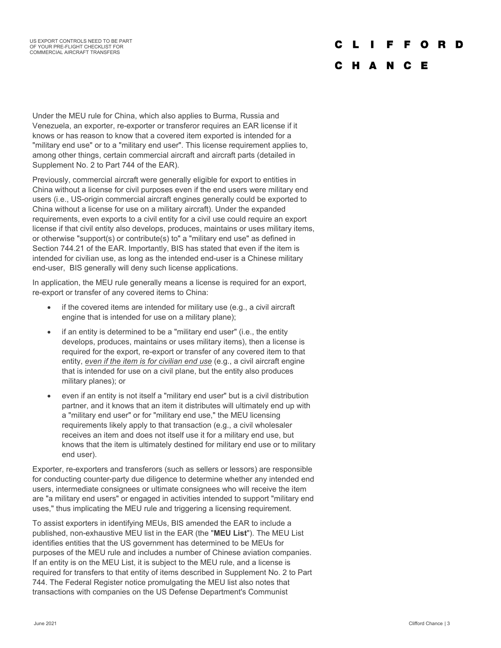#### C L F F O **D** D

### C H A N C E

Under the MEU rule for China, which also applies to Burma, Russia and Venezuela, an exporter, re-exporter or transferor requires an EAR license if it knows or has reason to know that a covered item exported is intended for a "military end use" or to a "military end user". This license requirement applies to, among other things, certain commercial aircraft and aircraft parts (detailed in Supplement No. 2 to Part 744 of the EAR).

Previously, commercial aircraft were generally eligible for export to entities in China without a license for civil purposes even if the end users were military end users (i.e., US-origin commercial aircraft engines generally could be exported to China without a license for use on a military aircraft). Under the expanded requirements, even exports to a civil entity for a civil use could require an export license if that civil entity also develops, produces, maintains or uses military items, or otherwise "support(s) or contribute(s) to" a "military end use" as defined in Section 744.21 of the EAR. Importantly, BIS has stated that even if the item is intended for civilian use, as long as the intended end-user is a Chinese military end-user, BIS generally will deny such license applications.

In application, the MEU rule generally means a license is required for an export, re-export or transfer of any covered items to China:

- if the covered items are intended for military use (e.g., a civil aircraft engine that is intended for use on a military plane);
- if an entity is determined to be a "military end user" (i.e., the entity develops, produces, maintains or uses military items), then a license is required for the export, re-export or transfer of any covered item to that entity, *even if the item is for civilian end use* (e.g., a civil aircraft engine that is intended for use on a civil plane, but the entity also produces military planes); or
- even if an entity is not itself a "military end user" but is a civil distribution partner, and it knows that an item it distributes will ultimately end up with a "military end user" or for "military end use," the MEU licensing requirements likely apply to that transaction (e.g., a civil wholesaler receives an item and does not itself use it for a military end use, but knows that the item is ultimately destined for military end use or to military end user).

Exporter, re-exporters and transferors (such as sellers or lessors) are responsible for conducting counter-party due diligence to determine whether any intended end users, intermediate consignees or ultimate consignees who will receive the item are "a military end users" or engaged in activities intended to support "military end uses," thus implicating the MEU rule and triggering a licensing requirement.

To assist exporters in identifying MEUs, BIS amended the EAR to include a published, non-exhaustive MEU list in the EAR (the "**MEU List**"). The MEU List identifies entities that the US government has determined to be MEUs for purposes of the MEU rule and includes a number of Chinese aviation companies. If an entity is on the MEU List, it is subject to the MEU rule, and a license is required for transfers to that entity of items described in Supplement No. 2 to Part 744. The Federal Register notice promulgating the MEU list also notes that transactions with companies on the US Defense Department's Communist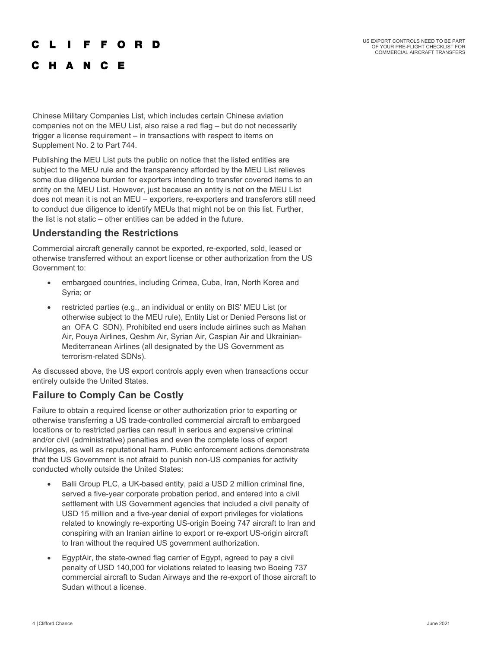#### $\mathbf{L}$ **The Contract State** F F O R D

## C H A N C E

Chinese Military Companies List, which includes certain Chinese aviation companies not on the MEU List, also raise a red flag – but do not necessarily trigger a license requirement – in transactions with respect to items on Supplement No. 2 to Part 744.

Publishing the MEU List puts the public on notice that the listed entities are subject to the MEU rule and the transparency afforded by the MEU List relieves some due diligence burden for exporters intending to transfer covered items to an entity on the MEU List. However, just because an entity is not on the MEU List does not mean it is not an MEU – exporters, re-exporters and transferors still need to conduct due diligence to identify MEUs that might not be on this list. Further, the list is not static – other entities can be added in the future.

### **Understanding the Restrictions**

Commercial aircraft generally cannot be exported, re-exported, sold, leased or otherwise transferred without an export license or other authorization from the US Government to:

- embargoed countries, including Crimea, Cuba, Iran, North Korea and Syria; or
- restricted parties (e.g., an individual or entity on BIS' MEU List (or otherwise subject to the MEU rule), Entity List or Denied Persons list or an OFA C SDN). Prohibited end users include airlines such as Mahan Air, Pouya Airlines, Qeshm Air, Syrian Air, Caspian Air and Ukrainian-Mediterranean Airlines (all designated by the US Government as terrorism-related SDNs).

As discussed above, the US export controls apply even when transactions occur entirely outside the United States.

### **Failure to Comply Can be Costly**

Failure to obtain a required license or other authorization prior to exporting or otherwise transferring a US trade-controlled commercial aircraft to embargoed locations or to restricted parties can result in serious and expensive criminal and/or civil (administrative) penalties and even the complete loss of export privileges, as well as reputational harm. Public enforcement actions demonstrate that the US Government is not afraid to punish non-US companies for activity conducted wholly outside the United States:

- Balli Group PLC, a UK-based entity, paid a USD 2 million criminal fine, served a five-year corporate probation period, and entered into a civil settlement with US Government agencies that included a civil penalty of USD 15 million and a five-year denial of export privileges for violations related to knowingly re-exporting US-origin Boeing 747 aircraft to Iran and conspiring with an Iranian airline to export or re-export US-origin aircraft to Iran without the required US government authorization.
- EgyptAir, the state-owned flag carrier of Egypt, agreed to pay a civil penalty of USD 140,000 for violations related to leasing two Boeing 737 commercial aircraft to Sudan Airways and the re-export of those aircraft to Sudan without a license.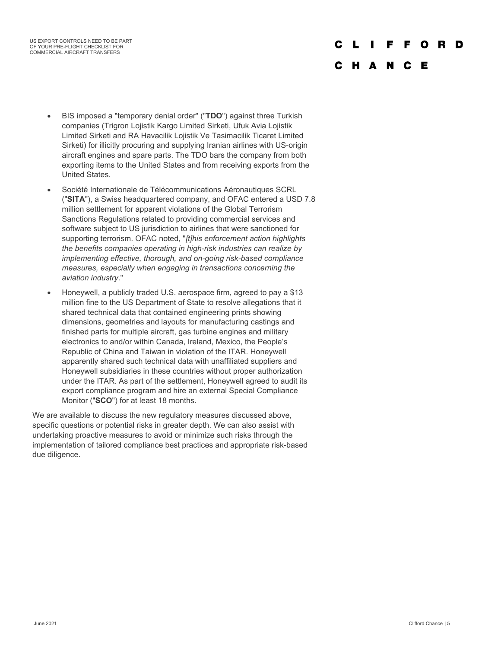US EXPORT CONTROLS NEED TO BE PART OF YOUR PRE-FLIGHT CHECKLIST FOR COMMERCIAL AIRCRAFT TRANSFERS

#### ŋ D

#### C H A N  $\mathbf{c}$ E

- BIS imposed a "temporary denial order" ("**TDO**") against three Turkish companies (Trigron Lojistik Kargo Limited Sirketi, Ufuk Avia Lojistik Limited Sirketi and RA Havacilik Lojistik Ve Tasimacilik Ticaret Limited Sirketi) for illicitly procuring and supplying Iranian airlines with US-origin aircraft engines and spare parts. The TDO bars the company from both exporting items to the United States and from receiving exports from the United States.
- Société Internationale de Télécommunications Aéronautiques SCRL ("**SITA**"), a Swiss headquartered company, and OFAC entered a USD 7.8 million settlement for apparent violations of the Global Terrorism Sanctions Regulations related to providing commercial services and software subject to US jurisdiction to airlines that were sanctioned for supporting terrorism. OFAC noted, "*[t]his enforcement action highlights the benefits companies operating in high-risk industries can realize by implementing effective, thorough, and on-going risk-based compliance measures, especially when engaging in transactions concerning the aviation industry*."
- Honeywell, a publicly traded U.S. aerospace firm, agreed to pay a \$13 million fine to the US Department of State to resolve allegations that it shared technical data that contained engineering prints showing dimensions, geometries and layouts for manufacturing castings and finished parts for multiple aircraft, gas turbine engines and military electronics to and/or within Canada, Ireland, Mexico, the People's Republic of China and Taiwan in violation of the ITAR. Honeywell apparently shared such technical data with unaffiliated suppliers and Honeywell subsidiaries in these countries without proper authorization under the ITAR. As part of the settlement, Honeywell agreed to audit its export compliance program and hire an external Special Compliance Monitor ("**SCO**") for at least 18 months.

We are available to discuss the new regulatory measures discussed above, specific questions or potential risks in greater depth. We can also assist with undertaking proactive measures to avoid or minimize such risks through the implementation of tailored compliance best practices and appropriate risk-based due diligence.